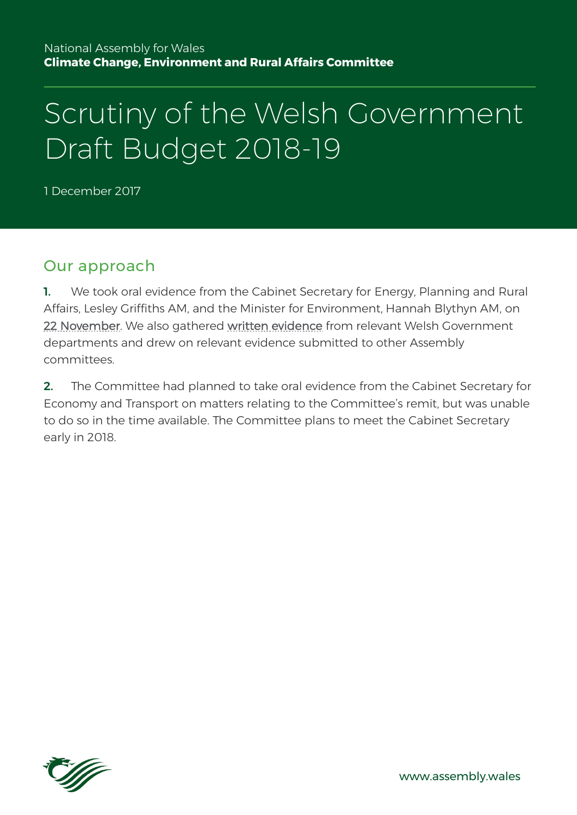#### National Assembly for Wales **Climate Change, Environment and Rural Affairs Committee**

# Scrutiny of the Welsh Government Draft Budget 2018-19

1 December 2017

### Our approach

1. We took oral evidence from the Cabinet Secretary for Energy, Planning and Rural Affairs, Lesley Griffiths AM, and the Minister for Environment, Hannah Blythyn AM, on [22 November.](http://record.assembly.wales/Committee/4329) We also gathered [written evidence](http://senedd.assembly.wales/documents/s68694/Paper%20from%20Welsh%20Government.pdf) from relevant Welsh Government departments and drew on relevant evidence submitted to other Assembly committees.

2. The Committee had planned to take oral evidence from the Cabinet Secretary for Economy and Transport on matters relating to the Committee's remit, but was unable to do so in the time available. The Committee plans to meet the Cabinet Secretary early in 2018.

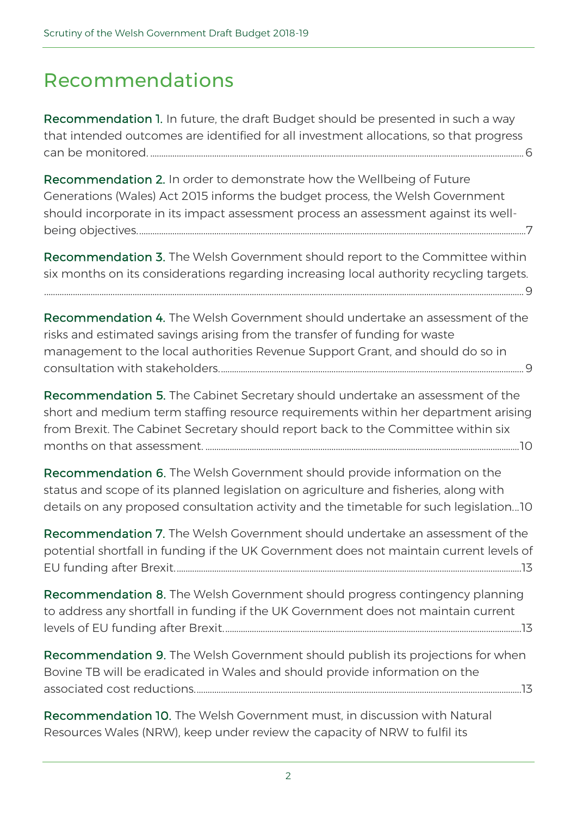## Recommendations

Recommendation 1. In future, the draft Budget should be presented in such a way that intended outcomes are identified for all investment allocations, so that progress can be monitored. .........................................................................................................................................................................6

Recommendation 2. In order to demonstrate how the Wellbeing of Future Generations (Wales) Act 2015 informs the budget process, the Welsh Government should incorporate in its impact assessment process an assessment against its wellbeing objectives................................................................................................................................................................................7

Recommendation 3. The Welsh Government should report to the Committee within six months on its considerations regarding increasing local authority recycling targets.

.........................................................................................................................................................................................................................9

Recommendation 4. The Welsh Government should undertake an assessment of the risks and estimated savings arising from the transfer of funding for waste management to the local authorities Revenue Support Grant, and should do so in consultation with stakeholders..........................................................................................................................................9

Recommendation 5. The Cabinet Secretary should undertake an assessment of the short and medium term staffing resource requirements within her department arising from Brexit. The Cabinet Secretary should report back to the Committee within six months on that assessment. ..............................................................................................................................................10

Recommendation 6. The Welsh Government should provide information on the status and scope of its planned legislation on agriculture and fisheries, along with details on any proposed consultation activity and the timetable for such legislation...10

Recommendation 7. The Welsh Government should undertake an assessment of the potential shortfall in funding if the UK Government does not maintain current levels of EU funding after Brexit.............................................................................................................................................................13

Recommendation 8. The Welsh Government should progress contingency planning to address any shortfall in funding if the UK Government does not maintain current levels of EU funding after Brexit.......................................................................................................................................13

Recommendation 9. The Welsh Government should publish its projections for when Bovine TB will be eradicated in Wales and should provide information on the associated cost reductions....................................................................................................................................................13

Recommendation 10. The Welsh Government must, in discussion with Natural Resources Wales (NRW), keep under review the capacity of NRW to fulfil its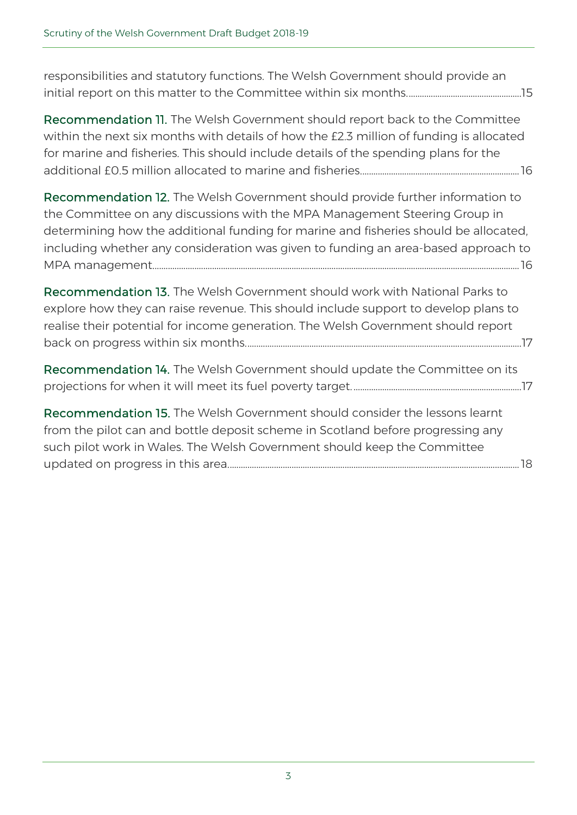responsibilities and statutory functions. The Welsh Government should provide an initial report on this matter to the Committee within six months....................................................15

Recommendation 11. The Welsh Government should report back to the Committee within the next six months with details of how the £2.3 million of funding is allocated for marine and fisheries. This should include details of the spending plans for the additional £0.5 million allocated to marine and fisheries........................................................................16

Recommendation 12. The Welsh Government should provide further information to the Committee on any discussions with the MPA Management Steering Group in determining how the additional funding for marine and fisheries should be allocated, including whether any consideration was given to funding an area-based approach to MPA management......................................................................................................................................................................16

Recommendation 13. The Welsh Government should work with National Parks to explore how they can raise revenue. This should include support to develop plans to realise their potential for income generation. The Welsh Government should report back on progress within six months.............................................................................................................................17

Recommendation 14. The Welsh Government should update the Committee on its projections for when it will meet its fuel poverty target. ............................................................................17

Recommendation 15. The Welsh Government should consider the lessons learnt from the pilot can and bottle deposit scheme in Scotland before progressing any such pilot work in Wales. The Welsh Government should keep the Committee updated on progress in this area....................................................................................................................................18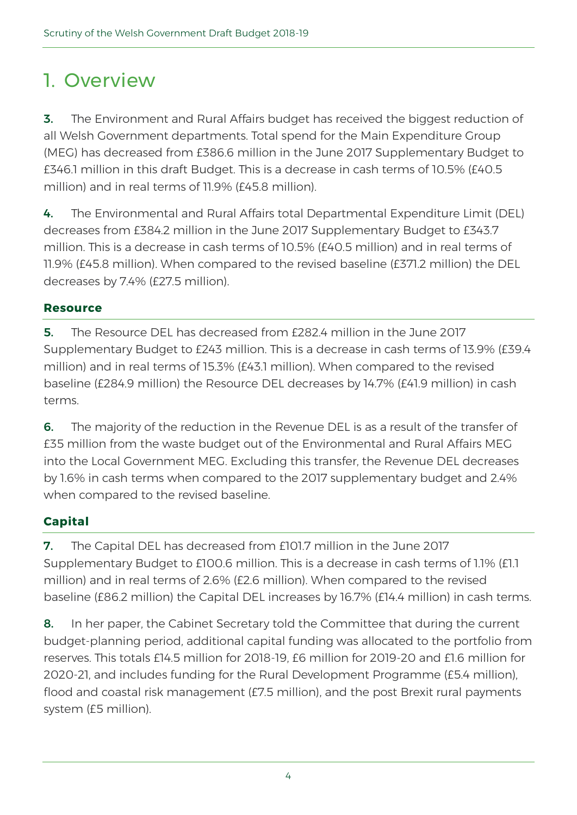## 1. Overview

**3.** The Environment and Rural Affairs budget has received the biggest reduction of all Welsh Government departments. Total spend for the Main Expenditure Group (MEG) has decreased from £386.6 million in the June 2017 Supplementary Budget to £346.1 million in this draft Budget. This is a decrease in cash terms of 10.5% (£40.5 million) and in real terms of 11.9% (£45.8 million).

4. The Environmental and Rural Affairs total Departmental Expenditure Limit (DEL) decreases from £384.2 million in the June 2017 Supplementary Budget to £343.7 million. This is a decrease in cash terms of 10.5% (£40.5 million) and in real terms of 11.9% (£45.8 million). When compared to the revised baseline (£371.2 million) the DEL decreases by 7.4% (£27.5 million).

### **Resource**

5. The Resource DEL has decreased from £282.4 million in the June 2017 Supplementary Budget to £243 million. This is a decrease in cash terms of 13.9% (£39.4 million) and in real terms of 15.3% (£43.1 million). When compared to the revised baseline (£284.9 million) the Resource DEL decreases by 14.7% (£41.9 million) in cash terms.

6. The majority of the reduction in the Revenue DEL is as a result of the transfer of £35 million from the waste budget out of the Environmental and Rural Affairs MEG into the Local Government MEG. Excluding this transfer, the Revenue DEL decreases by 1.6% in cash terms when compared to the 2017 supplementary budget and 2.4% when compared to the revised baseline.

### **Capital**

7. The Capital DEL has decreased from £101.7 million in the June 2017 Supplementary Budget to £100.6 million. This is a decrease in cash terms of 1.1% (£1.1 million) and in real terms of 2.6% (£2.6 million). When compared to the revised baseline (£86.2 million) the Capital DEL increases by 16.7% (£14.4 million) in cash terms.

8. In her paper, the Cabinet Secretary told the Committee that during the current budget-planning period, additional capital funding was allocated to the portfolio from reserves. This totals £14.5 million for 2018-19, £6 million for 2019-20 and £1.6 million for 2020-21, and includes funding for the Rural Development Programme (£5.4 million), flood and coastal risk management (£7.5 million), and the post Brexit rural payments system (£5 million).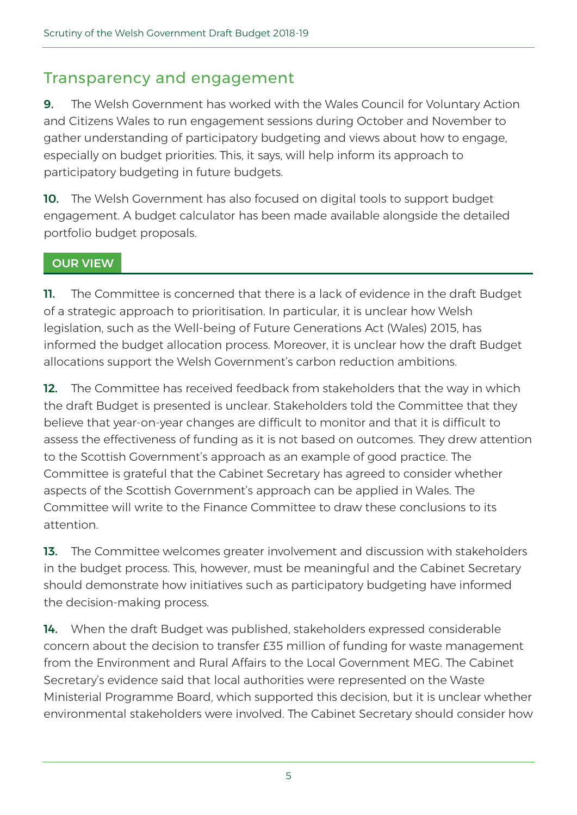## Transparency and engagement

9. The Welsh Government has worked with the Wales Council for Voluntary Action and Citizens Wales to run engagement sessions during October and November to gather understanding of participatory budgeting and views about how to engage, especially on budget priorities. This, it says, will help inform its approach to participatory budgeting in future budgets.

10. The Welsh Government has also focused on digital tools to support budget engagement. A [budget calculator](https://demo.budgetsimulator.com/) has been made available alongside the detailed portfolio budget proposals.

#### OUR VIEW

11. The Committee is concerned that there is a lack of evidence in the draft Budget of a strategic approach to prioritisation. In particular, it is unclear how Welsh legislation, such as the Well-being of Future Generations Act (Wales) 2015, has informed the budget allocation process. Moreover, it is unclear how the draft Budget allocations support the Welsh Government's carbon reduction ambitions.

12. The Committee has received feedback from stakeholders that the way in which the draft Budget is presented is unclear. Stakeholders told the Committee that they believe that year-on-year changes are difficult to monitor and that it is difficult to assess the effectiveness of funding as it is not based on outcomes. They drew attention to the Scottish Government's approach as an example of good practice. The Committee is grateful that the Cabinet Secretary has agreed to consider whether aspects of the Scottish Government's approach can be applied in Wales. The Committee will write to the Finance Committee to draw these conclusions to its attention.

13. The Committee welcomes greater involvement and discussion with stakeholders in the budget process. This, however, must be meaningful and the Cabinet Secretary should demonstrate how initiatives such as participatory budgeting have informed the decision-making process.

14. When the draft Budget was published, stakeholders expressed considerable concern about the decision to transfer £35 million of funding for waste management from the Environment and Rural Affairs to the Local Government MEG. The Cabinet Secretary's evidence said that local authorities were represented on the Waste Ministerial Programme Board, which supported this decision, but it is unclear whether environmental stakeholders were involved. The Cabinet Secretary should consider how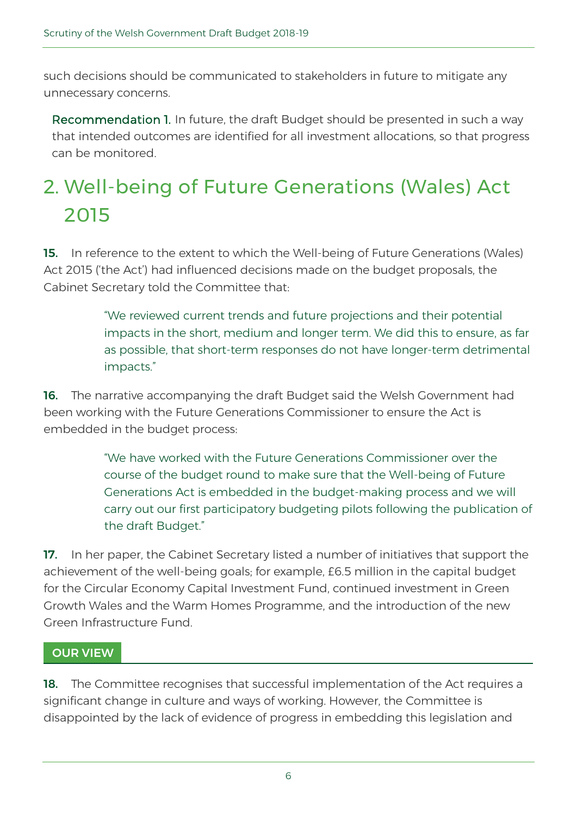such decisions should be communicated to stakeholders in future to mitigate any unnecessary concerns.

Recommendation 1. In future, the draft Budget should be presented in such a way that intended outcomes are identified for all investment allocations, so that progress can be monitored.

## 2. Well-being of Future Generations (Wales) Act 2015

15. In reference to the extent to which the Well-being of Future Generations (Wales) Act 2015 ('the Act') had influenced decisions made on the budget proposals, the Cabinet Secretary told the Committee that:

> "We reviewed current trends and future projections and their potential impacts in the short, medium and longer term. We did this to ensure, as far as possible, that short-term responses do not have longer-term detrimental impacts."

**16.** The narrative accompanying the draft Budget said the Welsh Government had been working with the Future Generations Commissioner to ensure the Act is embedded in the budget process:

> "We have worked with the Future Generations Commissioner over the course of the budget round to make sure that the Well-being of Future Generations Act is embedded in the budget-making process and we will carry out our first participatory budgeting pilots following the publication of the draft Budget."

**17.** In her paper, the Cabinet Secretary listed a number of initiatives that support the achievement of the well-being goals; for example, £6.5 million in the capital budget for the [Circular Economy Capital Investment Fund,](http://gov.wales/newsroom/environmentandcountryside/2017/170310-cabinet-secretary-confirms-6m-circular-economy-fund/?lang=en) continued investment in [Green](http://gov.wales/topics/businessandeconomy/creating-a-sustainable-economy/green-growth-wales/?lang=en)  [Growth Wales](http://gov.wales/topics/businessandeconomy/creating-a-sustainable-economy/green-growth-wales/?lang=en) and the [Warm Homes Programme,](http://gov.wales/topics/environmentcountryside/energy/efficiency/warm-homes/?lang=en) and the introduction of the new Green Infrastructure Fund.

### OUR VIEW

18. The Committee recognises that successful implementation of the Act requires a significant change in culture and ways of working. However, the Committee is disappointed by the lack of evidence of progress in embedding this legislation and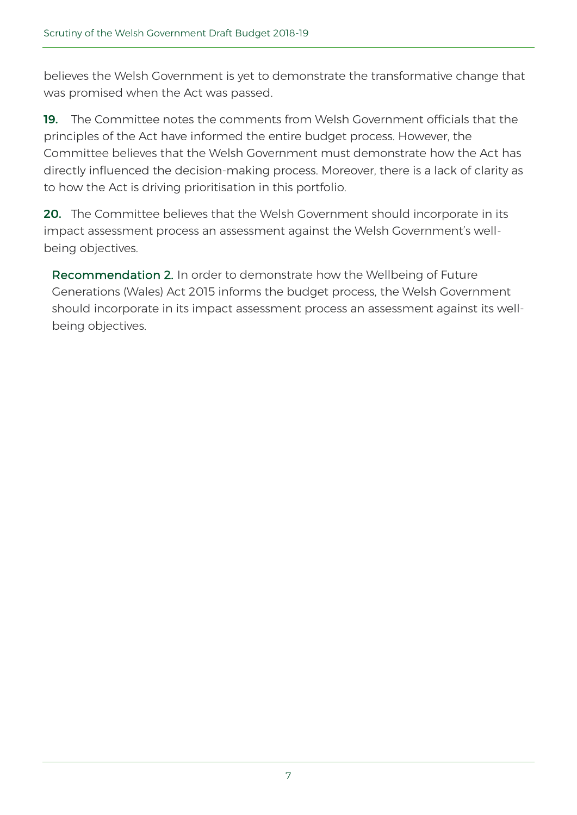believes the Welsh Government is yet to demonstrate the transformative change that was promised when the Act was passed.

19. The Committee notes the comments from Welsh Government officials that the principles of the Act have informed the entire budget process. However, the Committee believes that the Welsh Government must demonstrate how the Act has directly influenced the decision-making process. Moreover, there is a lack of clarity as to how the Act is driving prioritisation in this portfolio.

**20.** The Committee believes that the Welsh Government should incorporate in its impact assessment process an assessment against the Welsh Government's wellbeing objectives.

Recommendation 2. In order to demonstrate how the Wellbeing of Future Generations (Wales) Act 2015 informs the budget process, the Welsh Government should incorporate in its impact assessment process an assessment against its wellbeing objectives.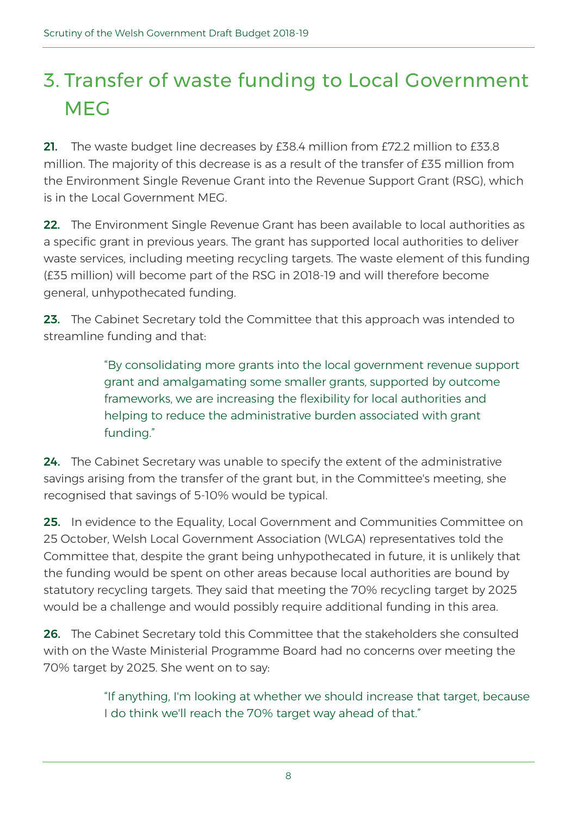## 3. Transfer of waste funding to Local Government MEG

21. The waste budget line decreases by £38.4 million from £72.2 million to £33.8 million. The majority of this decrease is as a result of the transfer of £35 million from the Environment Single Revenue Grant into the Revenue Support Grant (RSG), which is in the Local Government MEG.

22. The Environment Single Revenue Grant has been available to local authorities as a specific grant in previous years. The grant has supported local authorities to deliver waste services, including meeting recycling targets. The waste element of this funding (£35 million) will become part of the RSG in 2018-19 and will therefore become general, unhypothecated funding.

23. The Cabinet Secretary told the Committee that this approach was intended to streamline funding and that:

> "By consolidating more grants into the local government revenue support grant and amalgamating some smaller grants, supported by outcome frameworks, we are increasing the flexibility for local authorities and helping to reduce the administrative burden associated with grant funding."

24. The Cabinet Secretary was unable to specify the extent of the administrative savings arising from the transfer of the grant but, in the Committee's meeting, she recognised that savings of 5-10% would be typical.

25. In evidence to the Equality, Local Government and Communities Committee on 25 October, Welsh Local Government Association (WLGA) representatives told the Committee that, despite the grant being unhypothecated in future, it is unlikely that the funding would be spent on other areas because local authorities are bound by statutory recycling targets. They said that meeting the 70% recycling target by 2025 would be a challenge and would possibly require additional funding in this area.

26. The Cabinet Secretary told this Committee that the stakeholders she consulted with on the Waste Ministerial Programme Board had no concerns over meeting the 70% target by 2025. She went on to say:

> "If anything, I'm looking at whether we should increase that target, because I do think we'll reach the 70% target way ahead of that."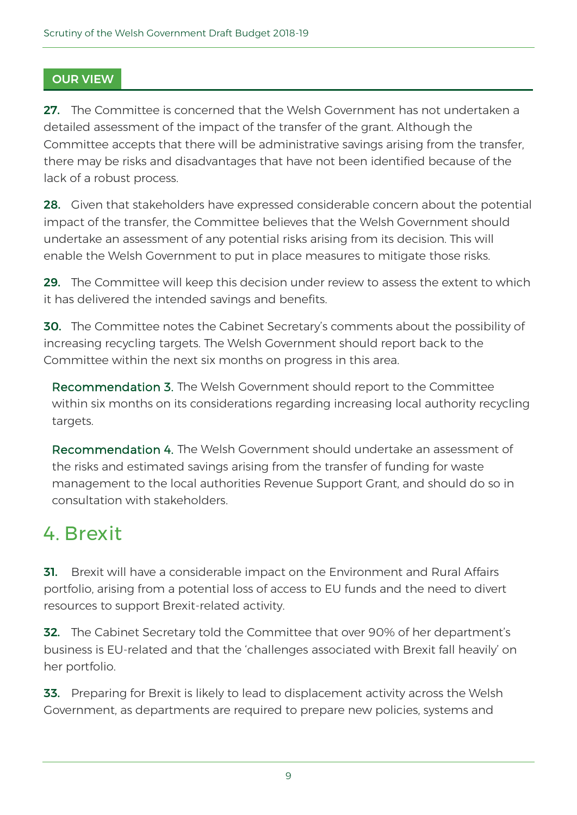### OUR VIEW

27. The Committee is concerned that the Welsh Government has not undertaken a detailed assessment of the impact of the transfer of the grant. Although the Committee accepts that there will be administrative savings arising from the transfer, there may be risks and disadvantages that have not been identified because of the lack of a robust process.

28. Given that stakeholders have expressed considerable concern about the potential impact of the transfer, the Committee believes that the Welsh Government should undertake an assessment of any potential risks arising from its decision. This will enable the Welsh Government to put in place measures to mitigate those risks.

29. The Committee will keep this decision under review to assess the extent to which it has delivered the intended savings and benefits.

**30.** The Committee notes the Cabinet Secretary's comments about the possibility of increasing recycling targets. The Welsh Government should report back to the Committee within the next six months on progress in this area.

Recommendation 3. The Welsh Government should report to the Committee within six months on its considerations regarding increasing local authority recycling targets.

Recommendation 4. The Welsh Government should undertake an assessment of the risks and estimated savings arising from the transfer of funding for waste management to the local authorities Revenue Support Grant, and should do so in consultation with stakeholders.

## 4. Brexit

**31.** Brexit will have a considerable impact on the Environment and Rural Affairs portfolio, arising from a potential loss of access to EU funds and the need to divert resources to support Brexit-related activity.

**32.** The Cabinet Secretary told the Committee that over 90% of her department's business is EU-related and that the 'challenges associated with Brexit fall heavily' on her portfolio.

33. Preparing for Brexit is likely to lead to displacement activity across the Welsh Government, as departments are required to prepare new policies, systems and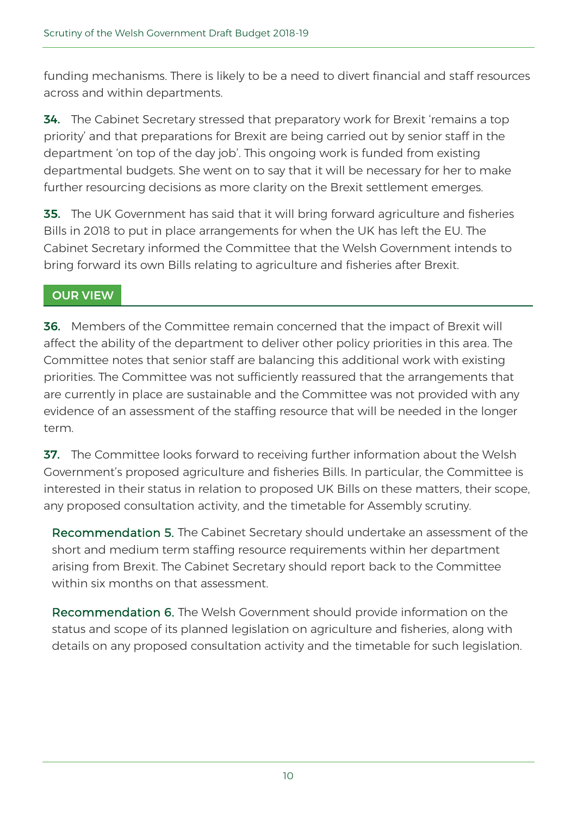funding mechanisms. There is likely to be a need to divert financial and staff resources across and within departments.

**34.** The Cabinet Secretary stressed that preparatory work for Brexit 'remains a top priority' and that preparations for Brexit are being carried out by senior staff in the department 'on top of the day job'. This ongoing work is funded from existing departmental budgets. She went on to say that it will be necessary for her to make further resourcing decisions as more clarity on the Brexit settlement emerges.

**35.** The UK Government has said that it will bring forward agriculture and fisheries Bills in 2018 to put in place arrangements for when the UK has left the EU. The Cabinet Secretary informed the Committee that the Welsh Government intends to bring forward its own Bills relating to agriculture and fisheries after Brexit.

### OUR VIEW

36. Members of the Committee remain concerned that the impact of Brexit will affect the ability of the department to deliver other policy priorities in this area. The Committee notes that senior staff are balancing this additional work with existing priorities. The Committee was not sufficiently reassured that the arrangements that are currently in place are sustainable and the Committee was not provided with any evidence of an assessment of the staffing resource that will be needed in the longer term.

**37.** The Committee looks forward to receiving further information about the Welsh Government's proposed agriculture and fisheries Bills. In particular, the Committee is interested in their status in relation to proposed UK Bills on these matters, their scope, any proposed consultation activity, and the timetable for Assembly scrutiny.

Recommendation 5. The Cabinet Secretary should undertake an assessment of the short and medium term staffing resource requirements within her department arising from Brexit. The Cabinet Secretary should report back to the Committee within six months on that assessment.

Recommendation 6. The Welsh Government should provide information on the status and scope of its planned legislation on agriculture and fisheries, along with details on any proposed consultation activity and the timetable for such legislation.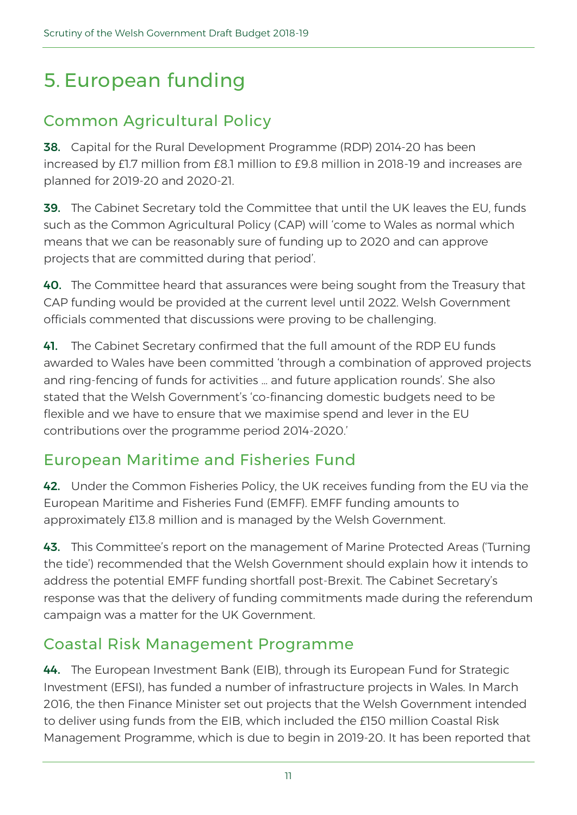## 5. European funding

## Common Agricultural Policy

38. Capital for the Rural Development Programme (RDP) 2014-20 has been increased by £1.7 million from £8.1 million to £9.8 million in 2018-19 and increases are planned for 2019-20 and 2020-21.

39. The Cabinet Secretary told the Committee that until the UK leaves the EU, funds such as the Common Agricultural Policy (CAP) will 'come to Wales as normal which means that we can be reasonably sure of funding up to 2020 and can approve projects that are committed during that period'.

**40.** The Committee heard that assurances were being sought from the Treasury that CAP funding would be provided at the current level until 2022. Welsh Government officials commented that discussions were proving to be challenging.

41. The Cabinet Secretary confirmed that the full amount of the RDP EU funds awarded to Wales have been committed 'through a combination of approved projects and ring-fencing of funds for activities … and future application rounds'. She also stated that the Welsh Government's 'co-financing domestic budgets need to be flexible and we have to ensure that we maximise spend and lever in the EU contributions over the programme period 2014-2020.'

## European Maritime and Fisheries Fund

42. Under the Common Fisheries Policy, the UK receives funding from the EU via the European Maritime and Fisheries Fund (EMFF). EMFF funding amounts to approximately £13.8 million and is managed by the Welsh Government.

43. This Committee's report on the management of Marine Protected Areas ('Turning the tide') recommended that the Welsh Government should explain how it intends to address the potential EMFF funding shortfall post-Brexit. The Cabinet Secretary's response was that the delivery of funding commitments made during the referendum campaign was a matter for the UK Government.

### Coastal Risk Management Programme

44. The [European Investment Bank \(EIB\),](http://www.eib.org/) through its European Fund for Strategic [Investment \(EFSI\),](http://www.eib.org/efsi/) has funded a number of infrastructure projects in Wales. In March 2016, the then Finance Minister [set out projects](http://gov.wales/about/cabinet/cabinetstatements/previous-administration/2016/euinvestmentbank/?lang=en) that the Welsh Government intended to deliver using funds from the EIB, which included the £150 million Coastal Risk Management Programme, which is due to begin in 2019-20. It has [been reported that](https://www.businessgreen.com/bg/news/3016047/brexit-prompts-delay-for-uk-applications-to-european-investment-bank)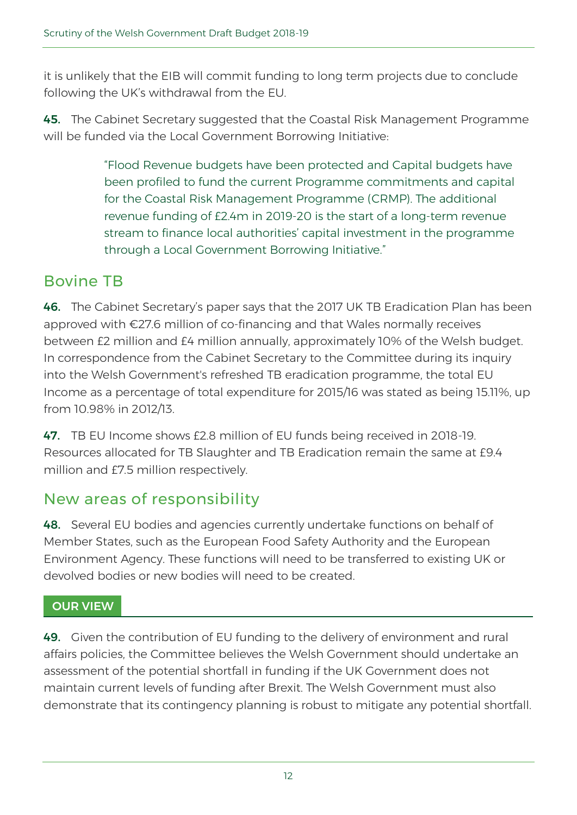it is unlikely that the EIB will commit funding to long term projects due to conclude following the UK's withdrawal from the EU.

45. The Cabinet Secretary suggested that the Coastal Risk Management Programme will be funded via the Local Government Borrowing Initiative:

> "Flood Revenue budgets have been protected and Capital budgets have been profiled to fund the current Programme commitments and capital for the Coastal Risk Management Programme (CRMP). The additional revenue funding of £2.4m in 2019-20 is the start of a long-term revenue stream to finance local authorities' capital investment in the programme through a Local Government Borrowing Initiative."

## Bovine TB

46. The Cabinet Secretary's paper says that the 2017 UK TB Eradication Plan has been approved with €27.6 million of co-financing and that Wales normally receives between £2 million and £4 million annually, approximately 10% of the Welsh budget. In correspondence from the Cabinet Secretary to the Committee during its inquiry into the Welsh Government's refreshed TB eradication programme, the total EU Income as a percentage of total expenditure for 2015/16 was stated as being 15.11%, up from 10.98% in 2012/13.

47. TB EU Income shows £2.8 million of EU funds being received in 2018-19. Resources allocated for TB Slaughter and TB Eradication remain the same at £9.4 million and £7.5 million respectively.

### New areas of responsibility

48. Several EU bodies and agencies currently undertake functions on behalf of Member States, such as the [European Food Safety Authority](https://www.efsa.europa.eu/) and the [European](https://www.eea.europa.eu/)  [Environment Agency.](https://www.eea.europa.eu/) These functions will need to be transferred to existing UK or devolved bodies or new bodies will need to be created.

### OUR VIEW

49. Given the contribution of EU funding to the delivery of environment and rural affairs policies, the Committee believes the Welsh Government should undertake an assessment of the potential shortfall in funding if the UK Government does not maintain current levels of funding after Brexit. The Welsh Government must also demonstrate that its contingency planning is robust to mitigate any potential shortfall.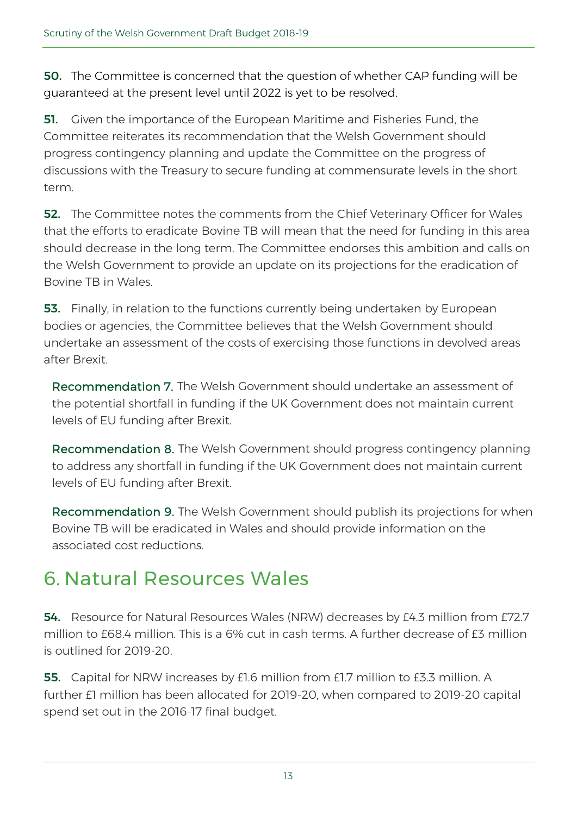50. The Committee is concerned that the question of whether CAP funding will be guaranteed at the present level until 2022 is yet to be resolved.

**51.** Given the importance of the European Maritime and Fisheries Fund, the Committee reiterates its recommendation that the Welsh Government should progress contingency planning and update the Committee on the progress of discussions with the Treasury to secure funding at commensurate levels in the short term.

**52.** The Committee notes the comments from the Chief Veterinary Officer for Wales that the efforts to eradicate Bovine TB will mean that the need for funding in this area should decrease in the long term. The Committee endorses this ambition and calls on the Welsh Government to provide an update on its projections for the eradication of Bovine TB in Wales.

**53.** Finally, in relation to the functions currently being undertaken by European bodies or agencies, the Committee believes that the Welsh Government should undertake an assessment of the costs of exercising those functions in devolved areas after Brexit.

Recommendation 7. The Welsh Government should undertake an assessment of the potential shortfall in funding if the UK Government does not maintain current levels of EU funding after Brexit.

Recommendation 8. The Welsh Government should progress contingency planning to address any shortfall in funding if the UK Government does not maintain current levels of EU funding after Brexit.

Recommendation 9. The Welsh Government should publish its projections for when Bovine TB will be eradicated in Wales and should provide information on the associated cost reductions.

## 6. Natural Resources Wales

54. Resource for Natural Resources Wales (NRW) decreases by £4.3 million from £72.7 million to  $f684$  million. This is a 6% cut in cash terms. A further decrease of  $f3$  million is outlined for 2019-20.

55. Capital for NRW increases by £1.6 million from £1.7 million to £3.3 million. A further £1 million has been allocated for 2019-20, when compared to 2019-20 capital spend set out in the 2016-17 final budget.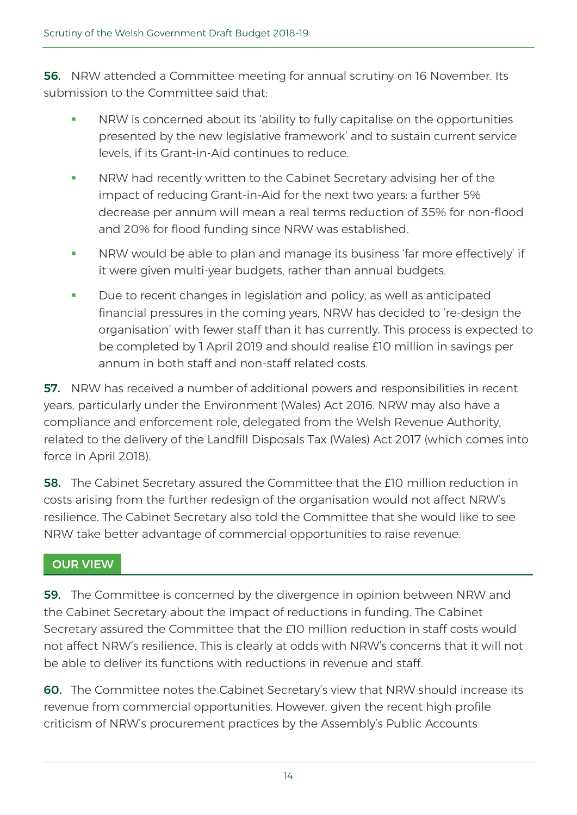**56.** NRW attended a Committee meeting for annual scrutiny on 16 November. Its submission to the Committee said that:

- NRW is concerned about its 'ability to fully capitalise on the opportunities presented by the new legislative framework' and to sustain current service levels, if its Grant-in-Aid continues to reduce.
- **NRW** had recently written to the Cabinet Secretary advising her of the impact of reducing Grant-in-Aid for the next two years: a further 5% decrease per annum will mean a real terms reduction of 35% for non-flood and 20% for flood funding since NRW was established.
- **NRW would be able to plan and manage its business 'far more effectively' if** it were given multi-year budgets, rather than annual budgets.
- Due to recent changes in legislation and policy, as well as anticipated financial pressures in the coming years, NRW has decided to 're-design the organisation' with fewer staff than it has currently. This process is expected to be completed by 1 April 2019 and should realise £10 million in savings per annum in both staff and non-staff related costs.

57. NRW has received a number of additional powers and responsibilities in recent years, particularly under the Environment (Wales) Act 2016. NRW may also have a compliance and enforcement role, delegated from the Welsh Revenue Authority, related to the delivery of the Landfill Disposals Tax (Wales) Act 2017 (which comes into force in April 2018).

58. The Cabinet Secretary assured the Committee that the £10 million reduction in costs arising from the further redesign of the organisation would not affect NRW's resilience. The Cabinet Secretary also told the Committee that she would like to see NRW take better advantage of commercial opportunities to raise revenue.

### OUR VIEW

**59.** The Committee is concerned by the divergence in opinion between NRW and the Cabinet Secretary about the impact of reductions in funding. The Cabinet Secretary assured the Committee that the £10 million reduction in staff costs would not affect NRW's resilience. This is clearly at odds with NRW's concerns that it will not be able to deliver its functions with reductions in revenue and staff.

60. The Committee notes the Cabinet Secretary's view that NRW should increase its revenue from commercial opportunities. However, given the recent high profile criticism of NRW's procurement practices by the Assembly's Public Accounts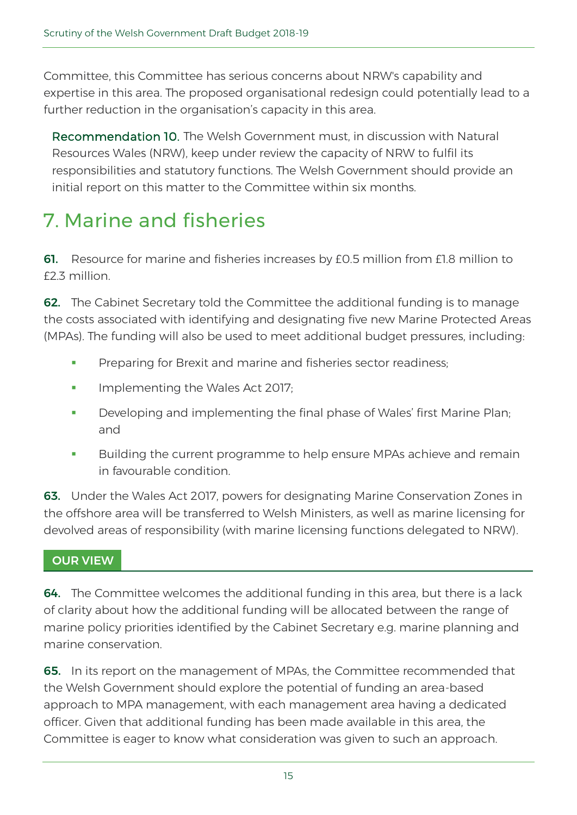Committee, this Committee has serious concerns about NRW's capability and expertise in this area. The proposed organisational redesign could potentially lead to a further reduction in the organisation's capacity in this area.

Recommendation 10. The Welsh Government must, in discussion with Natural Resources Wales (NRW), keep under review the capacity of NRW to fulfil its responsibilities and statutory functions. The Welsh Government should provide an initial report on this matter to the Committee within six months.

## 7. Marine and fisheries

61. Resource for marine and fisheries increases by £0.5 million from £1.8 million to £2.3 million.

62. The Cabinet Secretary told the Committee the additional funding is to manage the costs associated with identifying and designating five new [Marine Protected Areas](http://gov.wales/topics/environmentcountryside/marineandfisheries/marine-conservation-and-biodiversity/marine-protected-areas/?lang=en)  [\(MPAs\).](http://gov.wales/topics/environmentcountryside/marineandfisheries/marine-conservation-and-biodiversity/marine-protected-areas/?lang=en) The funding will also be used to meet additional budget pressures, including:

- Preparing for Brexit and marine and fisheries sector readiness;
- **IMPLE** Implementing the Wales Act 2017;
- **Developing and implementing the final phase of Wales' first [Marine Plan;](http://gov.wales/topics/environmentcountryside/marineandfisheries/marine-planning/?lang=en)** and
- Building the current programme to help ensure MPAs achieve and remain in favourable condition.

63. Under the Wales Act 2017, powers for designating Marine Conservation Zones in the offshore area will be transferred to Welsh Ministers, as well as marine licensing for devolved areas of responsibility (with marine licensing functions delegated to NRW).

### OUR VIEW

64. The Committee welcomes the additional funding in this area, but there is a lack of clarity about how the additional funding will be allocated between the range of marine policy priorities identified by the Cabinet Secretary e.g. marine planning and marine conservation.

**65.** In its report on the management of MPAs, the Committee recommended that the Welsh Government should explore the potential of funding an area-based approach to MPA management, with each management area having a dedicated officer. Given that additional funding has been made available in this area, the Committee is eager to know what consideration was given to such an approach.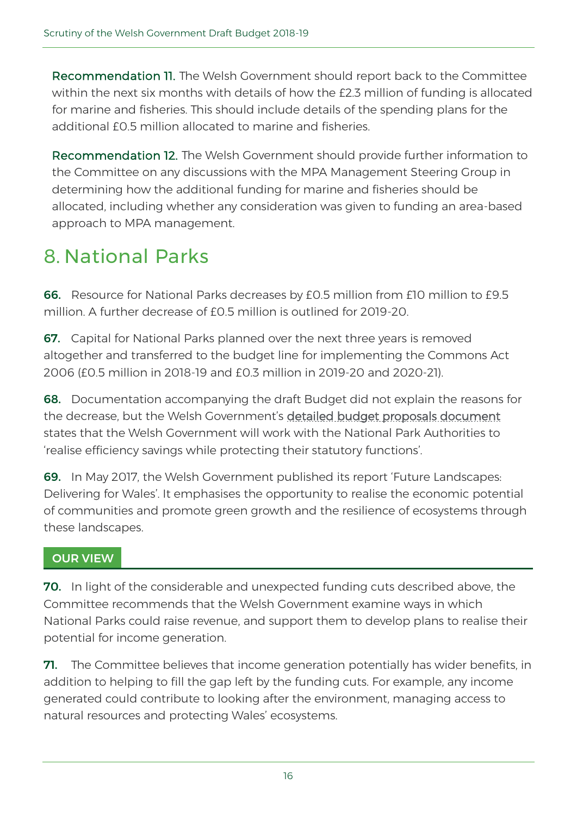Recommendation 11. The Welsh Government should report back to the Committee within the next six months with details of how the £2.3 million of funding is allocated for marine and fisheries. This should include details of the spending plans for the additional  $f0.5$  million allocated to marine and fisheries.

Recommendation 12. The Welsh Government should provide further information to the Committee on any discussions with the MPA Management Steering Group in determining how the additional funding for marine and fisheries should be allocated, including whether any consideration was given to funding an area-based approach to MPA management.

## 8. National Parks

66. Resource for National Parks decreases by £0.5 million from £10 million to £9.5 million. A further decrease of £0.5 million is outlined for 2019-20.

**67.** Capital for National Parks planned over the next three years is removed altogether and transferred to the budget line for implementing the Commons Act 2006 (£0.5 million in 2018-19 and £0.3 million in 2019-20 and 2020-21).

68. Documentation accompanying the draft Budget did not explain the reasons for the decrease, but the Welsh Government's [detailed budget proposals document](http://gov.wales/docs/caecd/publications/171024-detailed-narrative-en.pdf) states that the Welsh Government will work with the National Park Authorities to 'realise efficiency savings while protecting their statutory functions'.

69. In May 2017, the Welsh Government published its report ['Future Landscapes:](http://gov.wales/topics/environmentcountryside/consmanagement/review-designated-landscapes-wales/?lang=en)  [Delivering for Wales'.](http://gov.wales/topics/environmentcountryside/consmanagement/review-designated-landscapes-wales/?lang=en) It emphasises the opportunity to realise the economic potential of communities and promote green growth and the resilience of ecosystems through these landscapes.

### OUR VIEW

70. In light of the considerable and unexpected funding cuts described above, the Committee recommends that the Welsh Government examine ways in which National Parks could raise revenue, and support them to develop plans to realise their potential for income generation.

71. The Committee believes that income generation potentially has wider benefits, in addition to helping to fill the gap left by the funding cuts. For example, any income generated could contribute to looking after the environment, managing access to natural resources and protecting Wales' ecosystems.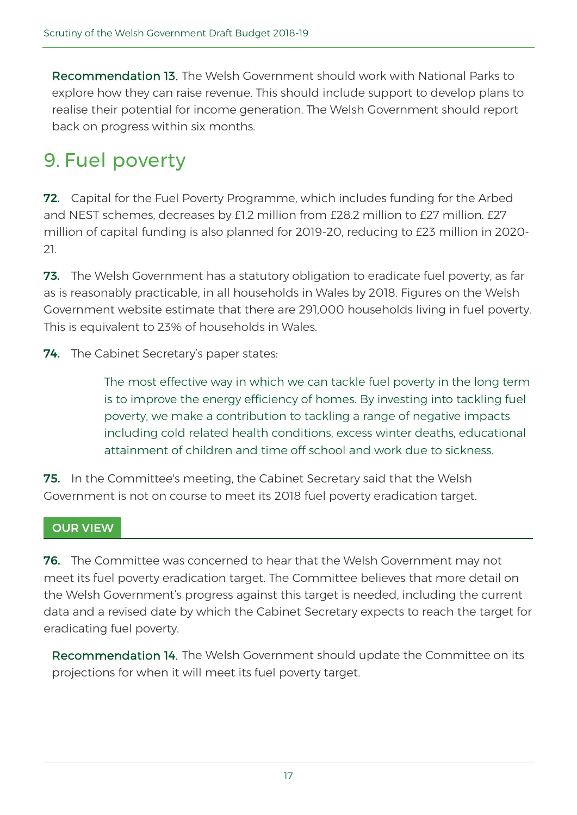Recommendation 13. The Welsh Government should work with National Parks to explore how they can raise revenue. This should include support to develop plans to realise their potential for income generation. The Welsh Government should report back on progress within six months.

## 9. Fuel poverty

**72.** Capital for the Fuel Poverty Programme, which includes funding for the Arbed and NEST schemes, decreases by £1.2 million from £28.2 million to £27 million. £27 million of capital funding is also planned for 2019-20, reducing to £23 million in 2020- 21.

73. The Welsh Government has a statutory obligation to eradicate fuel poverty, as far as is reasonably practicable, in all households in Wales by 2018. Figures on the [Welsh](http://gov.wales/topics/environmentcountryside/energy/fuelpoverty/?lang=en)  [Government website](http://gov.wales/topics/environmentcountryside/energy/fuelpoverty/?lang=en) estimate that there are 291,000 households living in fuel poverty. This is equivalent to 23% of households in Wales.

**74.** The Cabinet Secretary's paper states:

The most effective way in which we can tackle fuel poverty in the long term is to improve the energy efficiency of homes. By investing into tackling fuel poverty, we make a contribution to tackling a range of negative impacts including cold related health conditions, excess winter deaths, educational attainment of children and time off school and work due to sickness.

**75.** In the Committee's meeting, the Cabinet Secretary said that the Welsh Government is not on course to meet its 2018 fuel poverty eradication target.

### OUR VIEW

76. The Committee was concerned to hear that the Welsh Government may not meet its fuel poverty eradication target. The Committee believes that more detail on the Welsh Government's progress against this target is needed, including the current data and a revised date by which the Cabinet Secretary expects to reach the target for eradicating fuel poverty.

Recommendation 14. The Welsh Government should update the Committee on its projections for when it will meet its fuel poverty target.